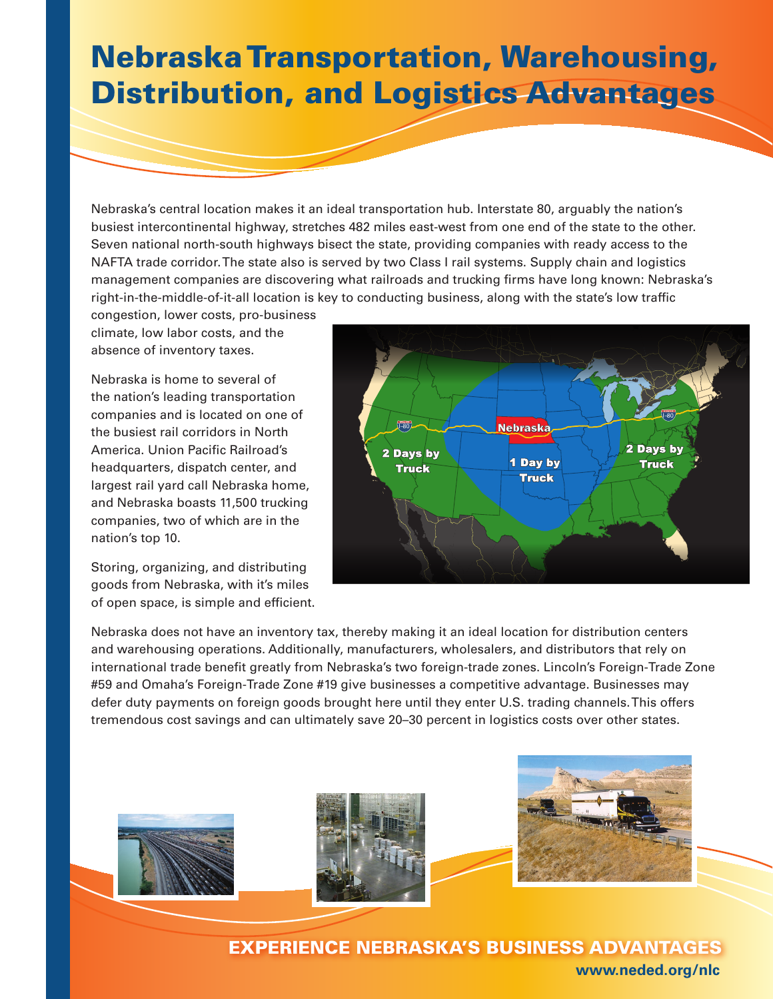## Nebraska Transportation, Warehousing, Distribution, and Logistics Advantages

Nebraska's central location makes it an ideal transportation hub. Interstate 80, arguably the nation's busiest intercontinental highway, stretches 482 miles east-west from one end of the state to the other. Seven national north-south highways bisect the state, providing companies with ready access to the NAFTA trade corridor. The state also is served by two Class I rail systems. Supply chain and logistics management companies are discovering what railroads and trucking firms have long known: Nebraska's right-in-the-middle-of-it-all location is key to conducting business, along with the state's low traffic

congestion, lower costs, pro-business climate, low labor costs, and the absence of inventory taxes.

Nebraska is home to several of the nation's leading transportation companies and is located on one of the busiest rail corridors in North America. Union Pacific Railroad's headquarters, dispatch center, and largest rail yard call Nebraska home, and Nebraska boasts 11,500 trucking companies, two of which are in the nation's top 10.

Storing, organizing, and distributing goods from Nebraska, with it's miles of open space, is simple and efficient.



Nebraska does not have an inventory tax, thereby making it an ideal location for distribution centers and warehousing operations. Additionally, manufacturers, wholesalers, and distributors that rely on international trade benefit greatly from Nebraska's two foreign-trade zones. Lincoln's Foreign-Trade Zone #59 and Omaha's Foreign-Trade Zone #19 give businesses a competitive advantage. Businesses may defer duty payments on foreign goods brought here until they enter U.S. trading channels. This offers tremendous cost savings and can ultimately save 20–30 percent in logistics costs over other states.







Experience Nebraska's Business Advantages **www.neded.org/nlc**